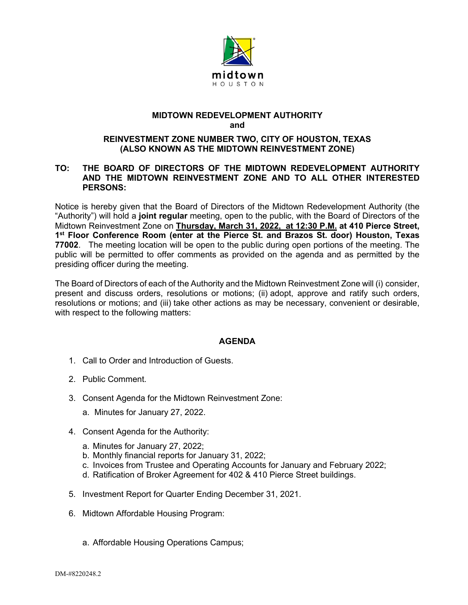

## **MIDTOWN REDEVELOPMENT AUTHORITY and**

## **REINVESTMENT ZONE NUMBER TWO, CITY OF HOUSTON, TEXAS (ALSO KNOWN AS THE MIDTOWN REINVESTMENT ZONE)**

## **TO: THE BOARD OF DIRECTORS OF THE MIDTOWN REDEVELOPMENT AUTHORITY AND THE MIDTOWN REINVESTMENT ZONE AND TO ALL OTHER INTERESTED PERSONS:**

Notice is hereby given that the Board of Directors of the Midtown Redevelopment Authority (the "Authority") will hold a **joint regular** meeting, open to the public, with the Board of Directors of the Midtown Reinvestment Zone on **Thursday, March 31, 2022, at 12:30 P.M. at 410 Pierce Street, 1st Floor Conference Room (enter at the Pierce St. and Brazos St. door) Houston, Texas 77002**. The meeting location will be open to the public during open portions of the meeting. The public will be permitted to offer comments as provided on the agenda and as permitted by the presiding officer during the meeting.

The Board of Directors of each of the Authority and the Midtown Reinvestment Zone will (i) consider, present and discuss orders, resolutions or motions; (ii) adopt, approve and ratify such orders, resolutions or motions; and (iii) take other actions as may be necessary, convenient or desirable, with respect to the following matters:

## **AGENDA**

- 1. Call to Order and Introduction of Guests.
- 2. Public Comment.
- 3. Consent Agenda for the Midtown Reinvestment Zone:
	- a. Minutes for January 27, 2022.
- 4. Consent Agenda for the Authority:
	- a. Minutes for January 27, 2022;
	- b. Monthly financial reports for January 31, 2022;
	- c. Invoices from Trustee and Operating Accounts for January and February 2022;
	- d. Ratification of Broker Agreement for 402 & 410 Pierce Street buildings.
- 5. Investment Report for Quarter Ending December 31, 2021.
- 6. Midtown Affordable Housing Program:
	- a. Affordable Housing Operations Campus;